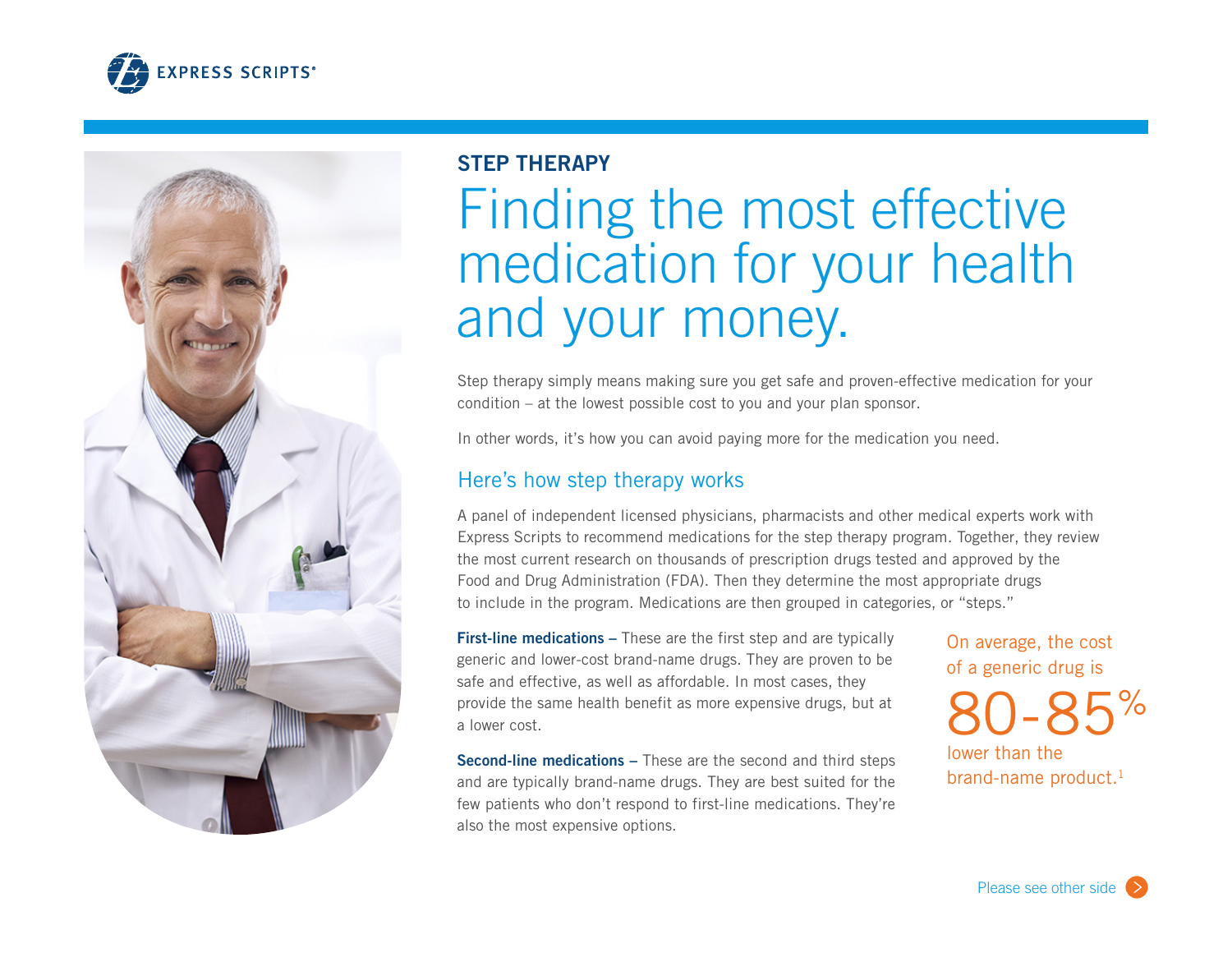



## **STEP THERAPY**

# Finding the most effective medication for your health and your money.

Step therapy simply means making sure you get safe and proven-effective medication for your condition – at the lowest possible cost to you and your plan sponsor.

In other words, it's how you can avoid paying more for the medication you need.

## Here's how step therapy works

A panel of independent licensed physicians, pharmacists and other medical experts work with Express Scripts to recommend medications for the step therapy program. Together, they review the most current research on thousands of prescription drugs tested and approved by the Food and Drug Administration (FDA). Then they determine the most appropriate drugs to include in the program. Medications are then grouped in categories, or "steps."

**First-line medications –** These are the first step and are typically generic and lower-cost brand-name drugs. They are proven to be safe and effective, as well as affordable. In most cases, they provide the same health benefit as more expensive drugs, but at a lower cost.

**Second-line medications –** These are the second and third steps and are typically brand-name drugs. They are best suited for the few patients who don't respond to first-line medications. They're also the most expensive options.

On average, the cost of a generic drug is

80-85% lower than the brand-name product.<sup>1</sup>